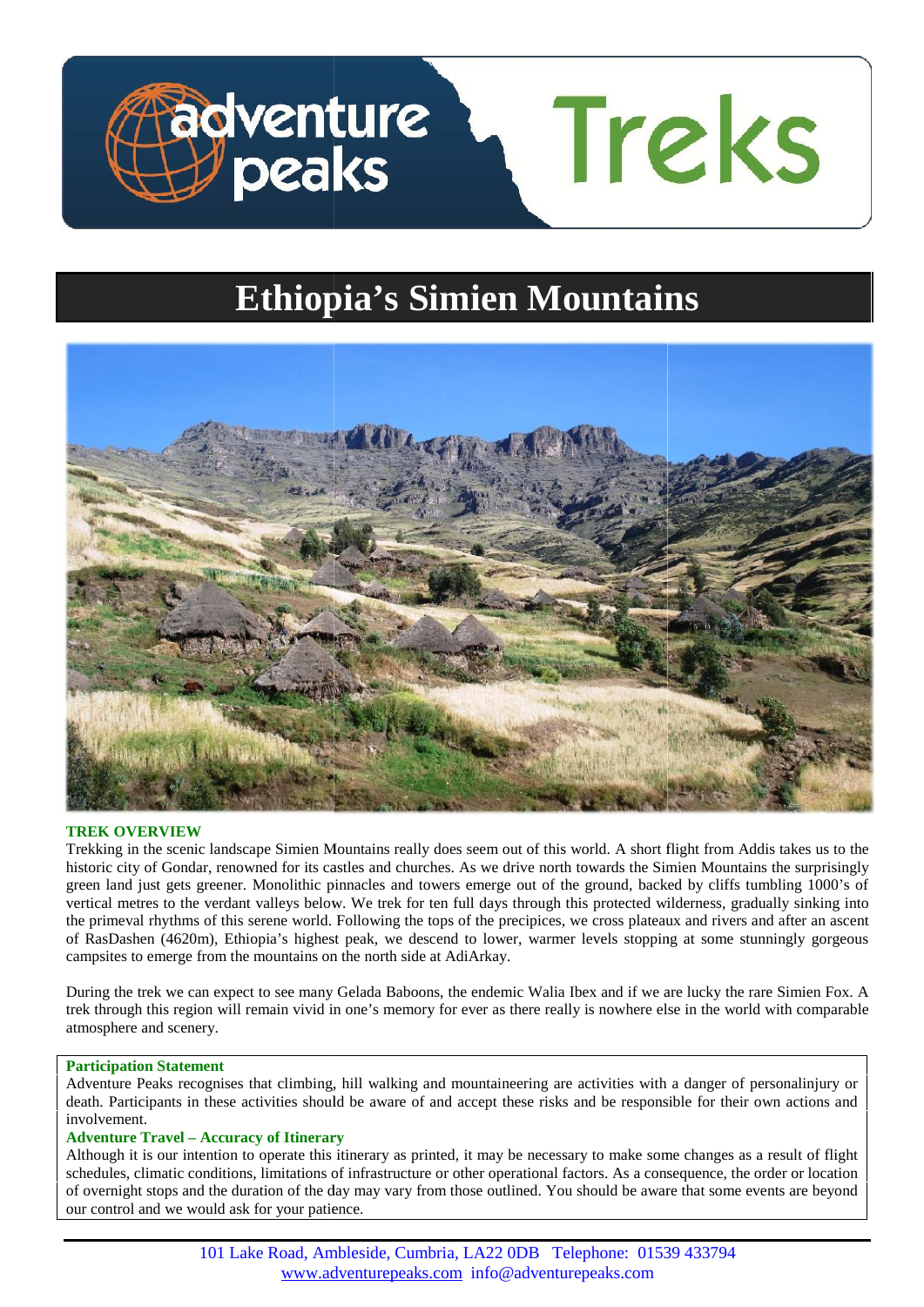

# **Ethiopia's Simien Mountains**



# **TREK OVERVIEW**

Trekking in the scenic landscape Simien Mountains really does seem out of this world. A short flight from Addis takes us to the Trekking in the scenic landscape Simien Mountains really does seem out of this world. A short flight from Addis takes us to the<br>historic city of Gondar, renowned for its castles and churches. As we drive north towards the green land just gets greener. Monolithic pinnacles and towers emerge out of the ground, backed by cliffs tumbling 1000's of vertical metres to the verdant valleys below. We trek for ten full days through this protected wilderness, gradually sinking into vertical metres to the verdant valleys below. We trek for ten full days through this protected wilderness, gradually sinking into<br>the primeval rhythms of this serene world. Following the tops of the precipices, we cross pl of RasDashen (4620m), Ethiopia's highest peak, we descend to lower, warmer levels stopping at some stunningly gorgeous campsites to emerge from the mountains on the north side at AdiArkay.

campsites to emerge from the mountains on the north side at AdiArkay.<br>During the trek we can expect to see many Gelada Baboons, the endemic Walia Ibex and if we are lucky the rare Simien Fox. A trek through this region will remain vivid in one's memory for ever as there really is nowhere else in the world with comparable atmosphere and scenery.

## **Participation Statement Statement**

Adventure Peaks recognises that climbing, hill walking and mountaineering are activities with a danger of personalinjury or Adventure Peaks recognises that climbing, hill walking and mountaineering are activities with a danger of personalinjury or death. Participants in these activities should be aware of and accept these risks and be responsib involvement.

# **Adventure Travel – Accuracy of Itinerary –**

Although it is our intention to operate this itinerary as printed, it may be necessary to make some changes as a result of flight schedules, climatic conditions, limitations of infrastructure or other operational factors. As a consequence, the order or location of overnight stops and the duration of the day may vary from those outlined. You should be aware that some events are beyond our control and we would ask for your patience.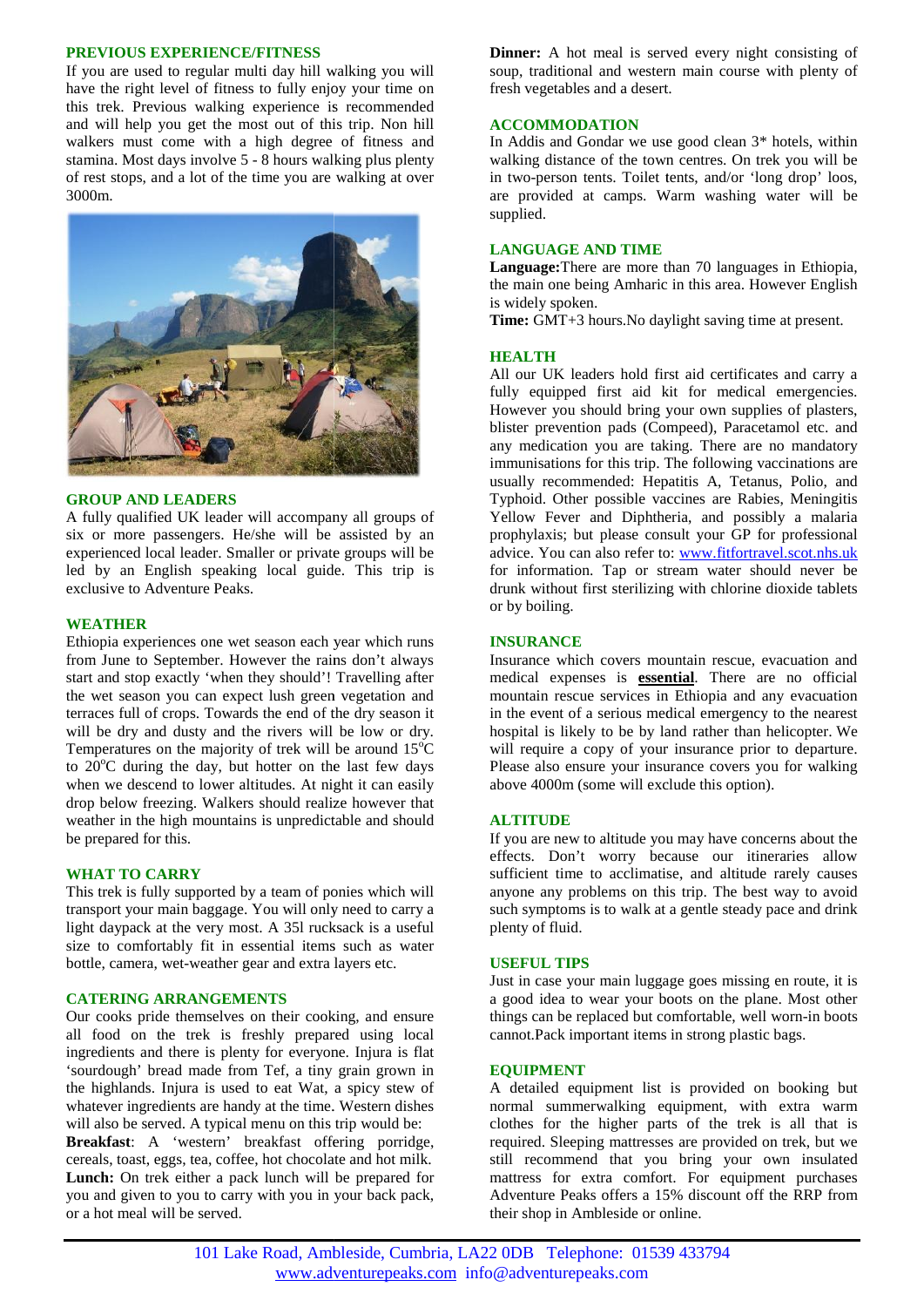# **PREVIOUS EXPERIENCE/FITNESS**

If you are used to regular multi day hill walking you will have the right level of fitness to fully enjoy your time on this trek. Previous walking experience is recommended and will help you get the most out of this trip. Non hill walkers must come with a high degree of fitness and stamina. Most days involve 5 - 8 hours walking plus plenty of rest stops, and a lot of the time you are walking at over 3000m.



## **GROUP AND LEADERS**

A fully qualified UK leader will accompany all groups of six or more passengers. He/she will be assisted by an experienced local leader. Smaller or private groups will be led by an English speaking local guide. This trip is exclusive to Adventure Peaks.

## **WEATHER**

Ethiopia experiences one wet season each year which runs from June to September. However the rains don't always from start and stop exactly 'when they should'! Travelling after the wet season you can expect lush green vegetation and terraces full of crops. Towards the end of the dry season it will be dry and dusty and the rivers will be low or dry. Temperatures on the majority of trek will be around  $15^{\circ}$ C to  $20^{\circ}$ C during the day, but hotter on the last few days when we descend to lower altitudes. At night it can easily drop below freezing. Walkers should realize however that weather in the high mountains is unpredictable and should be prepared for this. wet season you can expect lush green vegetation and<br>aces full of crops. Towards the end of the dry season it<br>be dry and dusty and the rivers will be low or dry.<br>peratures on the majority of trek will be around  $15^{\circ}$ C<br>

# **WHAT TO CARRY**

This trek is fully supported by a team of ponies which will transport your main baggage. You will only need to carry a light daypack at the very most. A 35l rucksack is a useful size to comfortably fit in essential items such as water bottle, camera, wet-weather gear and extra layers etc. This trek is fully supported by a team of ponies which will transport your main baggage. You will only need to carry a light daypack at the very most. A 351 rucksack is a useful size to comfortably fit in essential items s

## **CATERING ARRANGEMENTS**

or a hot meal will be served.

Our cooks pride themselves on their cooking, and ensure all food on the trek is freshly prepared using local ingredients and there is plenty for everyone. Injura is flat 'sourdough' bread made from Tef, a tiny grain grown in 'sourdough' bread made from Tef, a tiny grain grown in<br>the highlands. Injura is used to eat Wat, a spicy stew of whatever ingredients are handy at the time. Western dishes whatever ingredients are handy at the time. Western dishes will also be served. A typical menu on this trip would be: **Breakfast**: A 'western' breakfast offering porridge, **Breakfast**: A 'western' breakfast offering porridge, cereals, toast, eggs, tea, coffee, hot chocolate and hot milk. **Lunch:** On trek either a pack lunch will be prepared for

you and given to you to carry with you in your back pack,

**Dinner:** A hot meal is served every night consisting of soup, traditional and western main course with plenty of fresh vegetables and a desert.

## **ACCOMMODATION**

In Addis and Gondar we use good clean 3\* hotels, within walking distance of the town centres. On trek you will be in two-person tents. Toilet tents, and/or 'long drop' loos, are provided at camps. Warm washing water will be supplied.

# **LANGUAGE AND TIME**

**Language:**There are more than 70 languages in Ethiopia, the main one being Amharic in this area. However English<br>is widely spoken. is widely spoken.

**Time:** GMT+3 hours.No daylight saving time at present.

## **HEALTH**

All our UK leaders hold first aid certificates and carry a fully equipped first aid kit for medical emergencies. However you should bring your own supplies of plasters, blister prevention pads (Compeed), Paracetamol etc. and Time: GMT+3 hours.No daylight saving time at present.<br> **HEALTH**<br>
All our UK leaders hold first aid certificates and carry a<br>
fully equipped first aid kit for medical emergencies.<br>
However you should bring your own supplies immunisations for this trip. The following vaccinations are immunisations for this trip. The following vaccinations are usually recommended: Hepatitis A, Tetanus, Polio, and Typhoid. Other possible vaccines are Rabies, Meningitis Yellow Fever and Diphtheria, and possibly a malaria prophylaxis; but please consult your GP for professional advice. You can also refer to: www.fitfortravel.scot.nhs.uk for information. Tap or stream water should never be drunk without first sterilizing with chlorine dioxide tablets or by boiling. Typhoid. Other possible vaccines are Rabies, Meningitis<br>Yellow Fever and Diphtheria, and possibly a malaria<br>prophylaxis; but please consult your GP for professional<br>advice. You can also refer to: <u>www.fitfortravel.scot.nhs</u> Amharic in this area. However English<br>rs.No daylight saving time at present.<br>In the set and carry as the set and carry as<br>the set and kit for medical emergencies.<br>In the set and kit for medical emergencies.<br>In this trip. T

## **INSURANCE**

Insurance which covers mountain rescue, evacuation and medical expenses is **essential**. There are no official mountain rescue services in Ethiopia and any evacuation in the event of a serious medical emergency to the nearest hospital is likely to be by land rather than helicopter. We will require a copy of your insurance prior to departure. Please also ensure your insurance covers you for walking above 4000m (some will exclude this option). will require a copy of your insurance prior to de<br>Please also ensure your insurance covers you for<br>above 4000m (some will exclude this option).

## **ALTITUDE**

If you are new to altitude you may have concerns about the effects. Don't worry because our itineraries allow sufficient time to acclimatise, and altitude rarely causes sufficient time to acclimatise, and altitude rarely causes anyone any problems on this trip. The best way to avoid such symptoms is to walk at a gentle steady pace and drink plenty of fluid.

#### **USEFUL TIPS USEFUL TIPS**

Just in case your main luggage goes missing en route, it is a good idea to wear your boots on the plane. Most other things can be replaced but comfortable, well worn-in boots cannot.Pack important items in strong plastic bags. Just in case your main luggage goes missing en route, it is<br>
a good idea to wear your boots on the plane. Most other<br>
things can be replaced but comfortable, well worn-in boots<br>
cannot.Pack important items in strong plasti

## **EQUIPMENT**

A detailed equipment list is provided on booking but clothes for the higher parts of the trek is all that is required. Sleeping mattresses are provided on trek, but we still recommend that you bring your own insulated mattress for extra comfort. For equipment purchases Adventure Peaks offers a 15% discount off the RRP from their shop in Ambleside or online. clothes for the higher parts of the trek is all that<br>required. Sleeping mattresses are provided on trek, but<br>still recommend that you bring your own insulat<br>mattress for extra comfort. For equipment purchas

101 Lake Road, Ambleside, Cumbria, LA22 0DB Telephone: 01539 433794 www.adventurepeaks.com info@adventurepeaks.com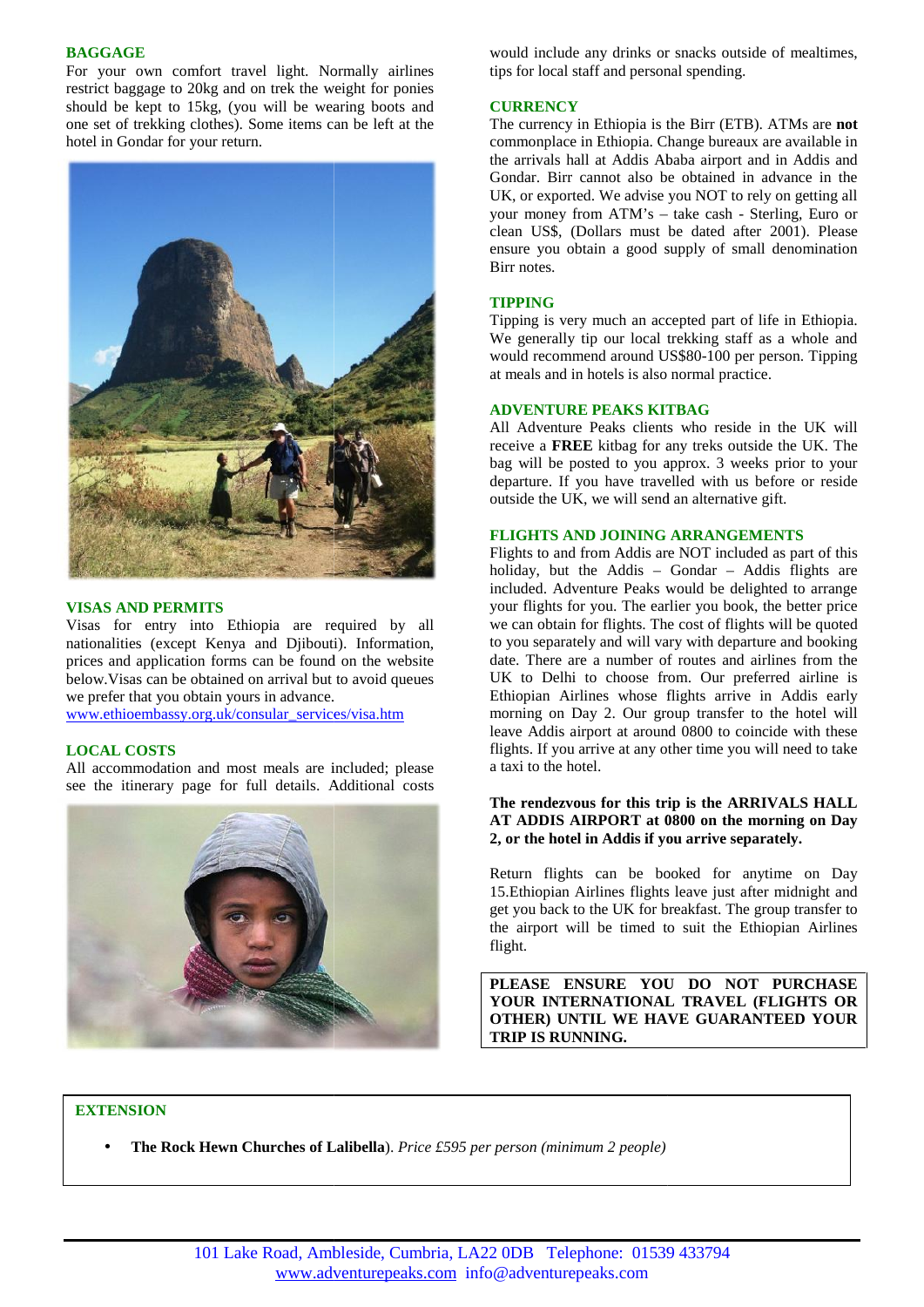# **BAGGAGE**

For your own comfort travel light. Normally airlines restrict baggage to 20kg and on trek the weight for ponies should be kept to 15kg, (you will be wearing boots and one set of trekking clothes). Some items can be left at the hotel in Gondar for your return.



# **VISAS AND PERMITS VISAS**

Visas for entry into Ethiopia are required by all nationalities (except Kenya and Djibouti). Information, prices and application forms can be found on the website below.Visas can be obtained on arrival but to avoid queues we prefer that you obtain yours in advance. Ethiopia are required by all<br>hya and Djibouti). Information,<br>ms can be found on the website<br>ed on arrival but to avoid queues<br>yours in advance.

www.ethioembassy.org.uk/consular\_services/visa.htm

# **LOCAL COSTS LOCAL COSTS**

All accommodation and most meals are included; please see the itinerary page for full details. Additional costs



would include any drinks or snacks outside of mealtimes, tips for local staff and personal spending.

## **CURRENCY**

The currency in Ethiopia is the Birr (ETB). ATMs are **not** commonplace in Ethiopia. Change bureaux are available in the arrivals hall at Addis Ababa airport and in Addis and Gondar. Birr cannot also be obtained in advance in the UK, or exported. We advise you NOT to rely on getting all your money from ATM's – take cash - Sterling, Euro or clean US\$, (Dollars must be dated after 2001). Please ensure you obtain a good supply of small denomination Birr notes.

# **TIPPING**

Tipping is very much an accepted part of life in Ethiopia. We generally tip our local trekking staff as a whole and would recommend around US\$80-100 per person. Tipping at meals and in hotels is also normal practice.

# **ADVENTURE PEAKS KITBAG**

All Adventure Peaks clients who reside in the UK will receive a **FREE** kitbag for any treks outside the UK. The bag will be posted to you approx. 3 weeks prior to your departure. If you have travelled with us before or reside outside the UK, we will send an alternative gift.

# **FLIGHTS AND JOINING ARRANGEMENTS**

Flights to and from Addis are NOT included as part of this holiday, but the Addis – Gondar – Addis flights are included. Adventure Peaks would be delighted to arrange your flights for you. The earlier you book, the better price we can obtain for flights. The cost of flights will be quoted to you separately and will vary with departure and booking date. There are a number of routes and airlines from the UK to Delhi to choose from. Our preferred airline is Ethiopian Airlines whose flights arrive in Addis early morning on Day 2. Our group transfer to the hotel will leave Addis airport at around 0800 to coincide with these flights. If you arrive at any other time you will need to take a taxi to the hotel.

#### **The rendezvous for this trip is the ARRIVALS HALL AT ADDIS AIRPORT at 0800 on the morning on Day 2, or the hotel in Addis if you arrive separately.** The rendezvous for this trip is the ARRIVALS HALL<br>AT ADDIS AIRPORT at 0800 on the morning on Day<br>2, or the hotel in Addis if you arrive separately.

Return flights can be booked for anytime on Day 15.Ethiopian Airlines flights leave just after midnight and get you back to the UK for breakfast. The group transfer to the airport will be timed to suit the Ethiopian Airlines flight. Return flights can be booked for<br>15.Ethiopian Airlines flights leave jus<br>get you back to the UK for breakfast. T<br>the airport will be timed to suit the

**PLEASE ENSURE YOU DO NOT PURCHASE YOUR INTERNATIONAL TRAVEL (FLIGHTS OR OTHER) UNTIL WE HAVE GUARANTEED YOUR TRIP IS RUNNING.**

# **EXTENSION**

**The Rock Hewn Churches of Lalibella**). *Price £595 per person (minimum 2 people)*